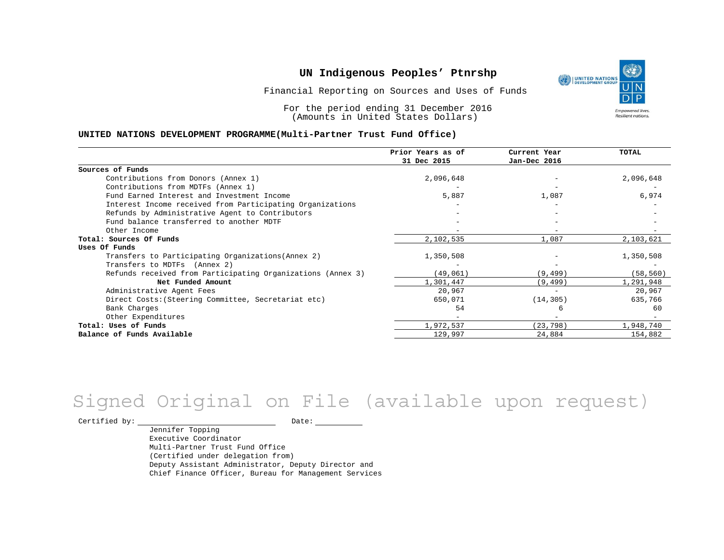Financial Reporting on Sources and Uses of Funds

For the period ending 31 December 2016 (Amounts in United States Dollars)

#### **UNITED NATIONS DEVELOPMENT PROGRAMME(Multi-Partner Trust Fund Office)**

|                                                             | Prior Years as of<br>31 Dec 2015 | Current Year<br>Jan-Dec 2016 | <b>TOTAL</b> |
|-------------------------------------------------------------|----------------------------------|------------------------------|--------------|
|                                                             |                                  |                              |              |
| Sources of Funds                                            |                                  |                              |              |
| Contributions from Donors (Annex 1)                         | 2,096,648                        |                              | 2,096,648    |
| Contributions from MDTFs (Annex 1)                          |                                  |                              |              |
| Fund Earned Interest and Investment Income                  | 5,887                            | 1,087                        | 6,974        |
| Interest Income received from Participating Organizations   |                                  | $\overline{\phantom{0}}$     |              |
| Refunds by Administrative Agent to Contributors             |                                  |                              |              |
| Fund balance transferred to another MDTF                    |                                  |                              |              |
| Other Income                                                |                                  | $-$                          |              |
| Total: Sources Of Funds                                     | 2,102,535                        | 1,087                        | 2,103,621    |
| Uses Of Funds                                               |                                  |                              |              |
| Transfers to Participating Organizations (Annex 2)          | 1,350,508                        |                              | 1,350,508    |
| Transfers to MDTFs (Annex 2)                                |                                  |                              |              |
| Refunds received from Participating Organizations (Annex 3) | (49,061)                         | (9, 499)                     | (58, 560)    |
| Net Funded Amount                                           | 1,301,447                        | (9, 499)                     | 1,291,948    |
| Administrative Agent Fees                                   | 20,967                           | $\overline{\phantom{0}}$     | 20,967       |
| Direct Costs: (Steering Committee, Secretariat etc)         | 650,071                          | (14, 305)                    | 635,766      |
| Bank Charges                                                | 54                               | 6                            | 60           |
| Other Expenditures                                          |                                  |                              |              |
| Total: Uses of Funds                                        | 1,972,537                        | (23, 798)                    | 1,948,740    |
| Balance of Funds Available                                  | 129,997                          | 24,884                       | 154,882      |

# Signed Original on File (available upon request)

 $\begin{tabular}{c} \multicolumn{2}{c}{{\texttt{Certified by:}}}} \thicklines \end{tabular} \vspace{-.5cm} \begin{tabular}{l} \multicolumn{2}{c}{} {\color{blue}Date:} \thicklines \end{tabular} \end{tabular} \vspace{-.5cm} \begin{tabular}{l} \multicolumn{2}{c}{} {\color{blue}Date:} \thicklines \end{tabular} \end{tabular} \vspace{-.5cm} \begin{tabular}{l} \multicolumn{2}{c}{} {\color{blue}Date:} \thicklines \end{tabular} \end{tabular} \vspace{-.5cm} \begin{tabular}{l} \multicolumn{2}{c}{} {\color{$ 

Jennifer Topping Executive Coordinator Multi-Partner Trust Fund Office (Certified under delegation from) Deputy Assistant Administrator, Deputy Director and Chief Finance Officer, Bureau for Management Services

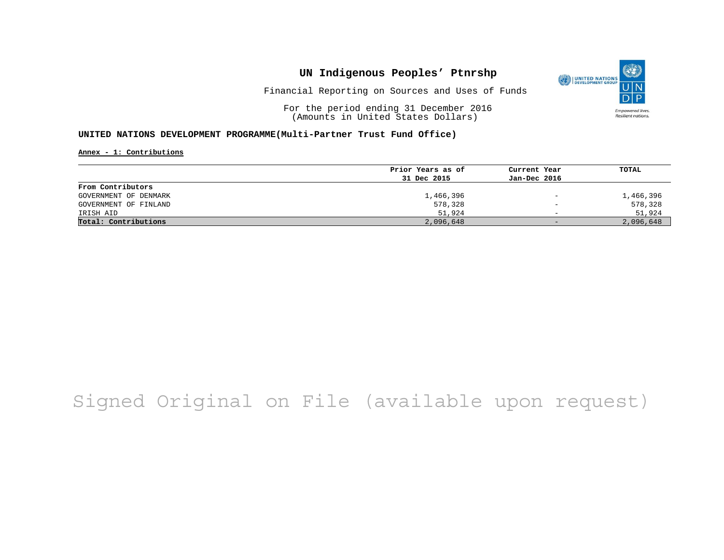

Financial Reporting on Sources and Uses of Funds

For the period ending 31 December 2016 (Amounts in United States Dollars)

#### **UNITED NATIONS DEVELOPMENT PROGRAMME(Multi-Partner Trust Fund Office)**

**Annex - 1: Contributions**

|                       | Prior Years as of | Current Year             | TOTAL     |
|-----------------------|-------------------|--------------------------|-----------|
|                       | 31 Dec 2015       | Jan-Dec 2016             |           |
| From Contributors     |                   |                          |           |
| GOVERNMENT OF DENMARK | 1,466,396         | $\overline{\phantom{m}}$ | 1,466,396 |
| GOVERNMENT OF FINLAND | 578,328           | $\qquad \qquad -$        | 578,328   |
| IRISH AID             | 51,924            | $\overline{\phantom{0}}$ | 51,924    |
| Total: Contributions  | 2,096,648         | $-$                      | 2,096,648 |

## Signed Original on File (available upon request)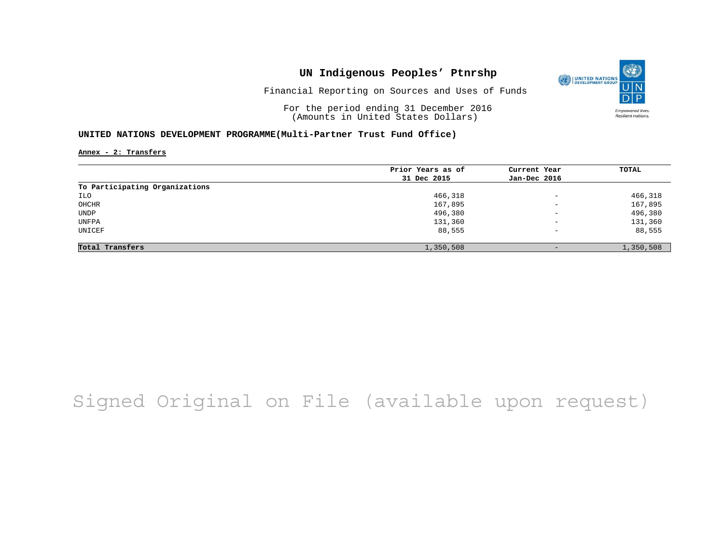

Financial Reporting on Sources and Uses of Funds

For the period ending 31 December 2016 (Amounts in United States Dollars)

#### **UNITED NATIONS DEVELOPMENT PROGRAMME(Multi-Partner Trust Fund Office)**

**Annex - 2: Transfers**

|                                | Prior Years as of | Current Year             | TOTAL     |
|--------------------------------|-------------------|--------------------------|-----------|
|                                | 31 Dec 2015       | Jan-Dec 2016             |           |
| To Participating Organizations |                   |                          |           |
| ILO                            | 466,318           | $\overline{\phantom{a}}$ | 466,318   |
| OHCHR                          | 167,895           | $\overline{\phantom{0}}$ | 167,895   |
| <b>UNDP</b>                    | 496,380           | $\overline{\phantom{m}}$ | 496,380   |
| UNFPA                          | 131,360           | $\qquad \qquad -$        | 131,360   |
| UNICEF                         | 88,555            | $\qquad \qquad -$        | 88,555    |
| Total Transfers                | 1,350,508         |                          | 1,350,508 |

## Signed Original on File (available upon request)